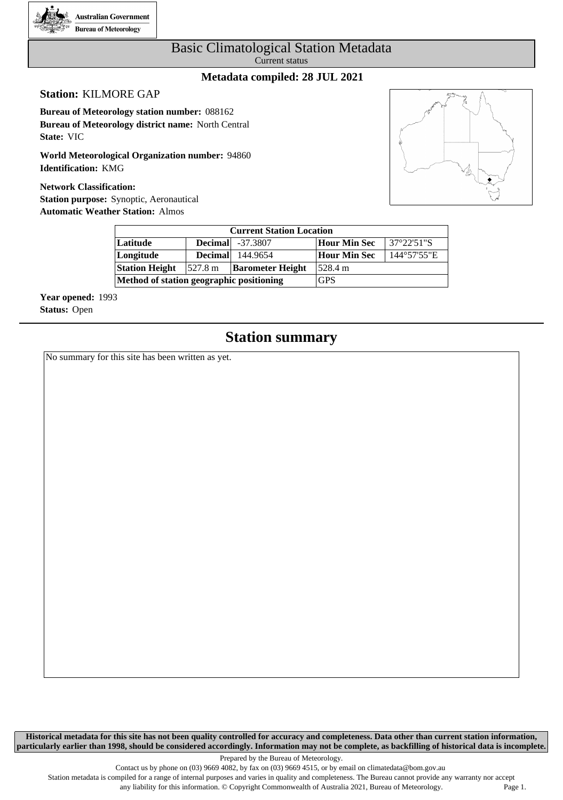

### Basic Climatological Station Metadata Current status

### **Metadata compiled: 28 JUL 2021**

### **Station:** KILMORE GAP

**Bureau of Meteorology station number:** 088162 **Bureau of Meteorology district name:** North Central **State:** VIC

**World Meteorological Organization number:** 94860 **Identification:** KMG

**Network Classification: Station purpose:** Synoptic, Aeronautical **Automatic Weather Station:** Almos



|                                          | <b>Current Station Location</b> |                         |              |                       |  |  |  |  |  |  |  |
|------------------------------------------|---------------------------------|-------------------------|--------------|-----------------------|--|--|--|--|--|--|--|
| Latitude                                 |                                 | <b>Decimal</b> -37.3807 | Hour Min Sec | $137^{\circ}22'51''S$ |  |  |  |  |  |  |  |
| Longitude                                | <b>Decimal</b>                  | 144.9654                | Hour Min Sec | 144°57'55"E           |  |  |  |  |  |  |  |
| <b>Station Height</b>                    | $1527.8 \text{ m}$              | <b>Barometer Height</b> | 1528.4 m     |                       |  |  |  |  |  |  |  |
| Method of station geographic positioning |                                 |                         | <b>GPS</b>   |                       |  |  |  |  |  |  |  |

**Year opened:** 1993 **Status:** Open

### **Station summary**

No summary for this site has been written as yet.

**Historical metadata for this site has not been quality controlled for accuracy and completeness. Data other than current station information, particularly earlier than 1998, should be considered accordingly. Information may not be complete, as backfilling of historical data is incomplete.**

Prepared by the Bureau of Meteorology.

Station metadata is compiled for a range of internal purposes and varies in quality and completeness. The Bureau cannot provide any warranty nor accept any liability for this information. © Copyright Commonwealth of Australia 2021, Bureau of Meteorology. Page 1.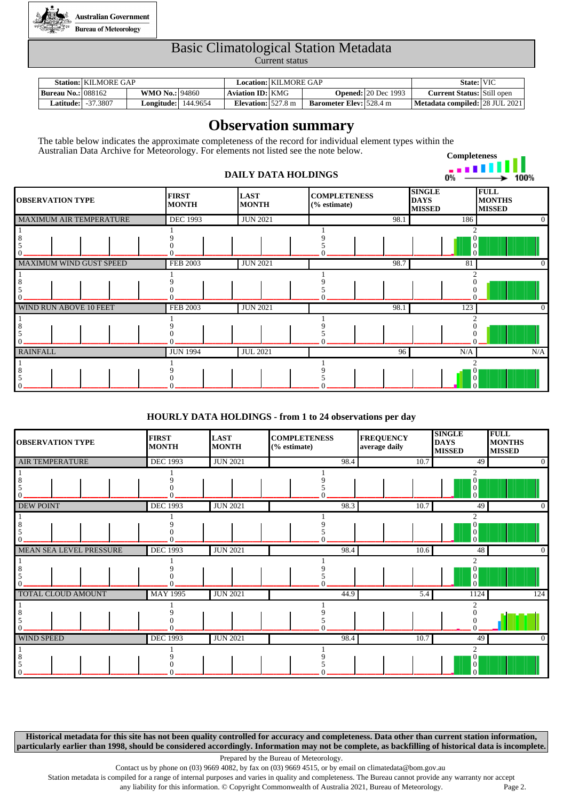

# Basic Climatological Station Metadata

Current status

|                           | Station: KILMORE GAP       |                       |          | Location: KILMORE GAP        |  |                                | State: VIC                 |                                   |  |
|---------------------------|----------------------------|-----------------------|----------|------------------------------|--|--------------------------------|----------------------------|-----------------------------------|--|
| <b>Bureau No.: 088162</b> |                            | <b>WMO No.: 94860</b> |          | <b>Aviation ID: KMG</b>      |  |                                | <b>Opened: 20 Dec 1993</b> | <b>Current Status:</b> Still open |  |
|                           | <b>Latitude:  -37.3807</b> | Longitude:            | 144.9654 | Elevation: $527.8 \text{ m}$ |  | <b>Barometer Elev:</b> 528.4 m |                            | Metadata compiled: 28 JUL 2021    |  |

### **Observation summary**

The table below indicates the approximate completeness of the record for individual element types within the Australian Data Archive for Meteorology. For elements not listed see the note below.

### **DAILY DATA HOLDINGS**



| <b>OBSERVATION TYPE</b> | <b>FIRST</b><br><b>MONTH</b> | <b>LAST</b><br><b>MONTH</b> | <b>COMPLETENESS</b><br>(% estimate) | <b>SINGLE</b><br><b>DAYS</b><br><b>MISSED</b> | <b>FULL</b><br><b>MONTHS</b><br><b>MISSED</b> |
|-------------------------|------------------------------|-----------------------------|-------------------------------------|-----------------------------------------------|-----------------------------------------------|
| MAXIMUM AIR TEMPERATURE | <b>DEC 1993</b>              | <b>JUN 2021</b>             | 98.1                                | 186                                           | $\overline{0}$                                |
|                         |                              |                             |                                     | v<br>$\vert 0 \vert$                          |                                               |
| MAXIMUM WIND GUST SPEED | <b>FEB 2003</b>              | <b>JUN 2021</b>             | 98.7                                | 81                                            | $\overline{0}$                                |
|                         |                              |                             |                                     |                                               |                                               |
| WIND RUN ABOVE 10 FEET  | <b>FEB 2003</b>              | <b>JUN 2021</b>             | 98.1                                | 123                                           | $\overline{0}$                                |
|                         |                              |                             |                                     |                                               |                                               |
| <b>RAINFALL</b>         | <b>JUN 1994</b>              | <b>JUL 2021</b>             | 96                                  | N/A                                           | N/A                                           |
|                         |                              |                             |                                     | 0                                             |                                               |

### **HOURLY DATA HOLDINGS - from 1 to 24 observations per day**

| <b>OBSERVATION TYPE</b>   | <b>FIRST</b><br><b>MONTH</b> | <b>LAST</b><br><b>MONTH</b> | <b>COMPLETENESS</b><br>$%$ estimate) | <b>FREQUENCY</b><br>average daily | <b>SINGLE</b><br><b>DAYS</b><br><b>MISSED</b> | <b>FULL</b><br><b>MONTHS</b><br><b>MISSED</b> |
|---------------------------|------------------------------|-----------------------------|--------------------------------------|-----------------------------------|-----------------------------------------------|-----------------------------------------------|
| <b>AIR TEMPERATURE</b>    | <b>DEC 1993</b>              | <b>JUN 2021</b>             | 98.4                                 | 10.7                              | 49                                            | $\overline{0}$                                |
|                           |                              |                             |                                      |                                   | 2                                             |                                               |
|                           |                              |                             |                                      |                                   | $\theta$<br>$\mathbf{0}$<br>$\Omega$          |                                               |
| <b>DEW POINT</b>          | <b>DEC 1993</b>              | <b>JUN 2021</b>             | 98.3                                 | 10.7                              | 49                                            | $\overline{0}$                                |
|                           |                              |                             |                                      |                                   | ◠                                             |                                               |
|                           |                              |                             |                                      |                                   | v<br>$\boldsymbol{0}$<br>$\Omega$             |                                               |
| MEAN SEA LEVEL PRESSURE   | <b>DEC 1993</b>              | <b>JUN 2021</b>             | 98.4                                 | 10.6                              | 48                                            | $\overline{0}$                                |
|                           |                              |                             |                                      |                                   | $\mathfrak{D}$                                |                                               |
|                           |                              |                             |                                      |                                   | $\mathbf{0}$<br>$\boldsymbol{0}$<br>$\Omega$  |                                               |
| <b>TOTAL CLOUD AMOUNT</b> | <b>MAY 1995</b>              | <b>JUN 2021</b>             | 44.9                                 | 5.4                               | 1124                                          | 124                                           |
|                           |                              |                             |                                      |                                   |                                               |                                               |
| <b>WIND SPEED</b>         | <b>DEC 1993</b>              | <b>JUN 2021</b>             | 98.4                                 | 10.7                              | 49                                            | $\overline{0}$                                |
|                           |                              |                             |                                      |                                   | $\mathbf{0}$<br>$\mathbf{0}$<br>$\Omega$      |                                               |

**Historical metadata for this site has not been quality controlled for accuracy and completeness. Data other than current station information, particularly earlier than 1998, should be considered accordingly. Information may not be complete, as backfilling of historical data is incomplete.**

Prepared by the Bureau of Meteorology.

Contact us by phone on (03) 9669 4082, by fax on (03) 9669 4515, or by email on climatedata@bom.gov.au

Station metadata is compiled for a range of internal purposes and varies in quality and completeness. The Bureau cannot provide any warranty nor accept any liability for this information. © Copyright Commonwealth of Australia 2021, Bureau of Meteorology. Page 2.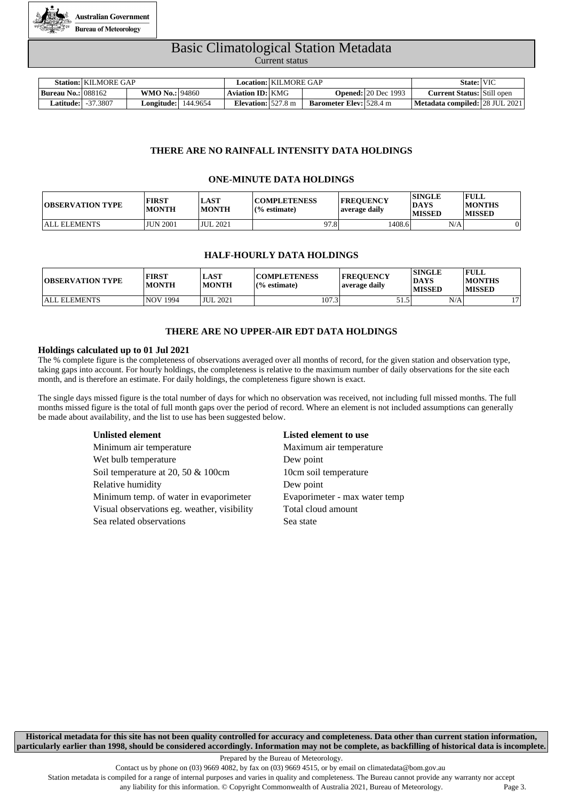

### Basic Climatological Station Metadata Current status

|                           | Station: KILMORE GAP       |                            |  | Location:   KILMORE GAP      |  |                                | State: VIC                    |                                   |  |
|---------------------------|----------------------------|----------------------------|--|------------------------------|--|--------------------------------|-------------------------------|-----------------------------------|--|
| <b>Bureau No.: 088162</b> |                            | <b>WMO No.: 94860</b>      |  | <b>Aviation ID: KMG</b>      |  |                                | <b>Opened:</b> $ 20$ Dec 1993 | <b>Current Status:</b> Still open |  |
|                           | <b>Latitude:  -37.3807</b> | <b>Longitude:</b> 144.9654 |  | Elevation: $527.8 \text{ m}$ |  | <b>Barometer Elev:</b> 528.4 m |                               | Metadata compiled: 28 JUL 2021    |  |

#### **THERE ARE NO RAINFALL INTENSITY DATA HOLDINGS**

#### **ONE-MINUTE DATA HOLDINGS**

| <b>TOBSERVATION TYPE</b> | <b>FIRST</b><br>  MONTH | <b>LAST</b><br><b>MONTH</b> | <b>COMPLETENESS</b><br>$(%$ estimate) | <b>FREOUENCY</b><br>average daily | <b>SINGLE</b><br><b>DAYS</b><br><b>MISSED</b> | <b>FULL</b><br><b>MONTHS</b><br><b>MISSED</b> |
|--------------------------|-------------------------|-----------------------------|---------------------------------------|-----------------------------------|-----------------------------------------------|-----------------------------------------------|
| <b>ALL ELEMENTS</b>      | <b>JUN 2001</b>         | <b>JUL 2021</b>             | 97.8                                  | 1408.6                            | N/A                                           |                                               |

#### **HALF-HOURLY DATA HOLDINGS**

| <b>OBSERVATION TYPE</b> | <b>FIRST</b><br><b>MONTH</b> | <b>LAST</b><br>  MONTH | <b>COMPLETENESS</b><br>$(%$ estimate) | <b>FREOUENCY</b><br>average daily | <b>SINGLE</b><br><b>DAYS</b><br><b>MISSED</b> | <b>FULL</b><br><b>MONTHS</b><br><b>MISSED</b> |
|-------------------------|------------------------------|------------------------|---------------------------------------|-----------------------------------|-----------------------------------------------|-----------------------------------------------|
| <b>ALL ELEMENTS</b>     | NOV 1994                     | JUL 2021               | 107.31                                | 51.5                              | N/A                                           | 17                                            |

#### **THERE ARE NO UPPER-AIR EDT DATA HOLDINGS**

#### **Holdings calculated up to 01 Jul 2021**

The % complete figure is the completeness of observations averaged over all months of record, for the given station and observation type, taking gaps into account. For hourly holdings, the completeness is relative to the maximum number of daily observations for the site each month, and is therefore an estimate. For daily holdings, the completeness figure shown is exact.

The single days missed figure is the total number of days for which no observation was received, not including full missed months. The full months missed figure is the total of full month gaps over the period of record. Where an element is not included assumptions can generally be made about availability, and the list to use has been suggested below.

| <b>Unlisted element</b> |  |
|-------------------------|--|
|-------------------------|--|

Minimum air temperature Maximum air temperature Wet bulb temperature Dew point Soil temperature at 20, 50 & 100cm 10cm soil temperature Relative humidity Dew point Minimum temp. of water in evaporimeter Evaporimeter - max water temp Visual observations eg. weather, visibility Total cloud amount Sea related observations Sea state

#### **Unlisted element Listed element to use**

**Historical metadata for this site has not been quality controlled for accuracy and completeness. Data other than current station information, particularly earlier than 1998, should be considered accordingly. Information may not be complete, as backfilling of historical data is incomplete.**

Prepared by the Bureau of Meteorology.

Contact us by phone on (03) 9669 4082, by fax on (03) 9669 4515, or by email on climatedata@bom.gov.au

Station metadata is compiled for a range of internal purposes and varies in quality and completeness. The Bureau cannot provide any warranty nor accept

any liability for this information. © Copyright Commonwealth of Australia 2021, Bureau of Meteorology. Page 3.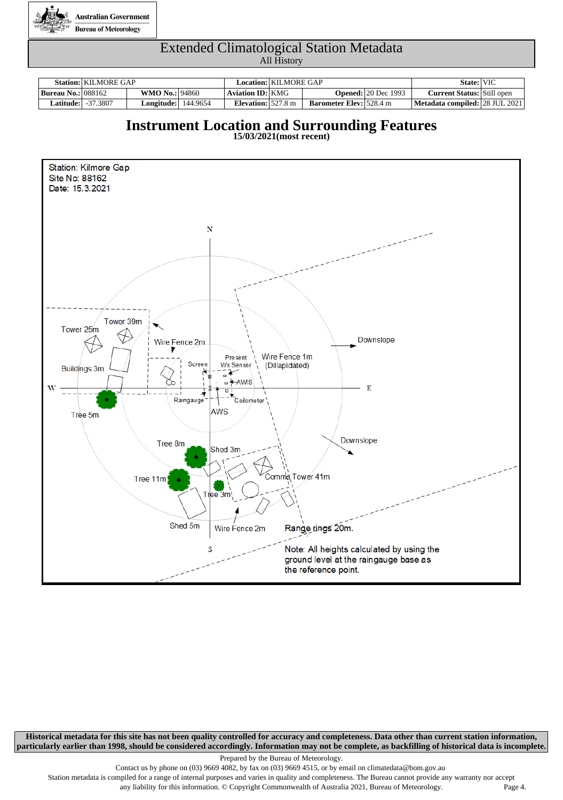

|                           | <b>Station:   KILMORE GAP</b> |                            |                              | Location:   KILMORE GAP |                                |                            | State: VIC                        |  |
|---------------------------|-------------------------------|----------------------------|------------------------------|-------------------------|--------------------------------|----------------------------|-----------------------------------|--|
| <b>Bureau No.: 088162</b> |                               | <b>WMO No.: 94860</b>      | Aviation ID:   KMG           |                         |                                | <b>Opened:</b> 20 Dec 1993 | <b>Current Status:</b> Still open |  |
| Latitude:                 | -37.3807                      | <b>Longitude:</b> 144.9654 | Elevation: $527.8 \text{ m}$ |                         | <b>Barometer Elev:</b> 528.4 m |                            | Metadata compiled: 28 JUL 2021    |  |

### **Instrument Location and Surrounding Features**

**15/03/2021(most recent)**



**Historical metadata for this site has not been quality controlled for accuracy and completeness. Data other than current station information, particularly earlier than 1998, should be considered accordingly. Information may not be complete, as backfilling of historical data is incomplete.**

Prepared by the Bureau of Meteorology.

Contact us by phone on (03) 9669 4082, by fax on (03) 9669 4515, or by email on climatedata@bom.gov.au

Station metadata is compiled for a range of internal purposes and varies in quality and completeness. The Bureau cannot provide any warranty nor accept

any liability for this information. © Copyright Commonwealth of Australia 2021, Bureau of Meteorology. Page 4.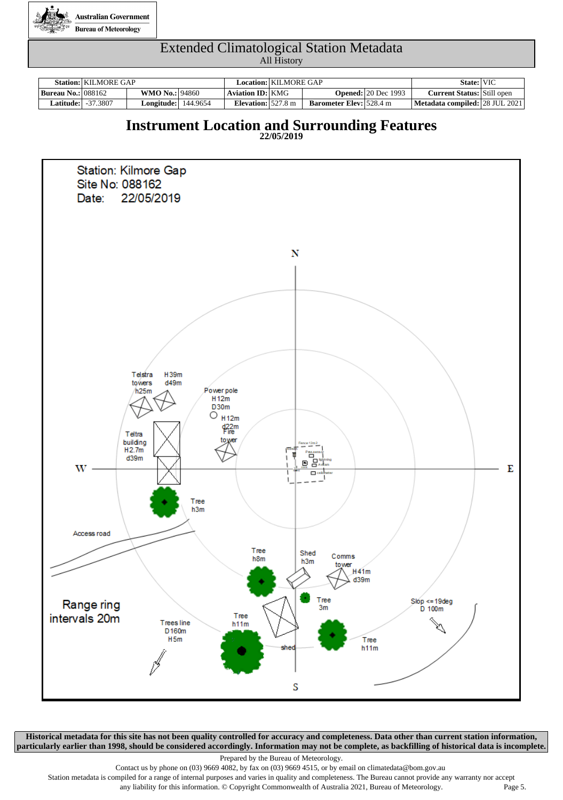

|                           | Station: KILMORE GAP         |                            |                                                     | Location:   KILMORE GAP |                                |                            | State: VIC                        |  |
|---------------------------|------------------------------|----------------------------|-----------------------------------------------------|-------------------------|--------------------------------|----------------------------|-----------------------------------|--|
| <b>Bureau No.: 088162</b> |                              | <b>WMO No.: 94860</b>      | Aviation ID:   KMG                                  |                         |                                | <b>Opened:</b> 20 Dec 1993 | <b>Current Status:</b> Still open |  |
|                           | <b>Latitude:</b> 1 - 37.3807 | <b>Longitude:</b> 144.9654 | Elevation: $\frac{527.8 \text{ m}}{24.5 \text{ m}}$ |                         | <b>Barometer Elev:</b> 528.4 m |                            | Metadata compiled: 28 JUL 2021    |  |

## **Instrument Location and Surrounding Features**



**Historical metadata for this site has not been quality controlled for accuracy and completeness. Data other than current station information, particularly earlier than 1998, should be considered accordingly. Information may not be complete, as backfilling of historical data is incomplete.**

Prepared by the Bureau of Meteorology.

Contact us by phone on (03) 9669 4082, by fax on (03) 9669 4515, or by email on climatedata@bom.gov.au

Station metadata is compiled for a range of internal purposes and varies in quality and completeness. The Bureau cannot provide any warranty nor accept any liability for this information. © Copyright Commonwealth of Australia 2021, Bureau of Meteorology. Page 5.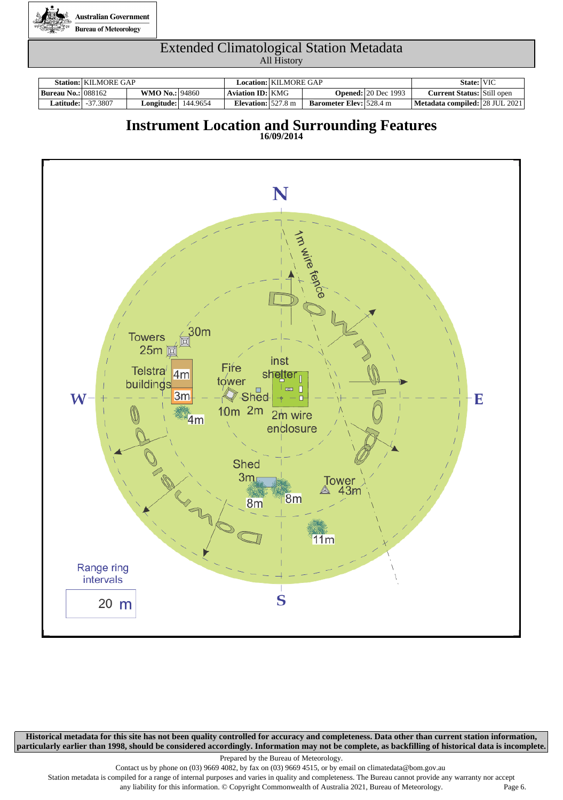

|                           | <b>Station:   KILMORE GAP</b> |                            |                               | Location:   KILMORE GAP |                                |                              | State: VIC                        |  |
|---------------------------|-------------------------------|----------------------------|-------------------------------|-------------------------|--------------------------------|------------------------------|-----------------------------------|--|
| <b>Bureau No.: 088162</b> |                               | <b>WMO No.: 94860</b>      | <b>Aviation ID: KMG</b>       |                         |                                | <b>Opened:</b> $20$ Dec 1993 | <b>Current Status:</b> Still open |  |
|                           | <b>Latitude:</b> 1 - 37.3807  | <b>Longitude:</b> 144.9654 | Elevation: $1527.8 \text{ m}$ |                         | <b>Barometer Elev:</b> 528.4 m |                              | Metadata compiled: 28 JUL 2021    |  |

### **Instrument Location and Surrounding Features**

**16/09/2014**



**Historical metadata for this site has not been quality controlled for accuracy and completeness. Data other than current station information, particularly earlier than 1998, should be considered accordingly. Information may not be complete, as backfilling of historical data is incomplete.**

Prepared by the Bureau of Meteorology.

Contact us by phone on (03) 9669 4082, by fax on (03) 9669 4515, or by email on climatedata@bom.gov.au

Station metadata is compiled for a range of internal purposes and varies in quality and completeness. The Bureau cannot provide any warranty nor accept any liability for this information. © Copyright Commonwealth of Australia 2021, Bureau of Meteorology. Page 6.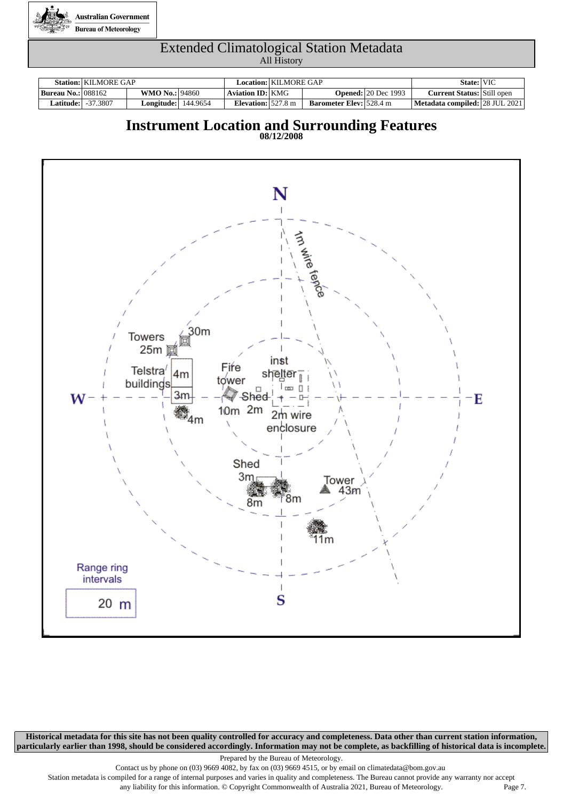

|                           | Station: KILMORE GAP     |                            |                               | Location:   KILMORE GAP |                                |                               | State: VIC                        |  |
|---------------------------|--------------------------|----------------------------|-------------------------------|-------------------------|--------------------------------|-------------------------------|-----------------------------------|--|
| <b>Bureau No.: 088162</b> |                          | <b>WMO No.: 94860</b>      | <b>Aviation ID: KMG</b>       |                         |                                | <b>Opened:</b> $ 20$ Dec 1993 | <b>Current Status:</b> Still open |  |
|                           | <b>Latitude: 37.3807</b> | <b>Longitude:</b> 144.9654 | Elevation: $1527.8 \text{ m}$ |                         | <b>Barometer Elev:</b> 528.4 m |                               | Metadata compiled: 28 JUL 2021    |  |

### **Instrument Location and Surrounding Features**

**08/12/2008**



**Historical metadata for this site has not been quality controlled for accuracy and completeness. Data other than current station information, particularly earlier than 1998, should be considered accordingly. Information may not be complete, as backfilling of historical data is incomplete.**

Prepared by the Bureau of Meteorology.

Contact us by phone on (03) 9669 4082, by fax on (03) 9669 4515, or by email on climatedata@bom.gov.au

Station metadata is compiled for a range of internal purposes and varies in quality and completeness. The Bureau cannot provide any warranty nor accept any liability for this information. © Copyright Commonwealth of Australia 2021, Bureau of Meteorology. Page 7.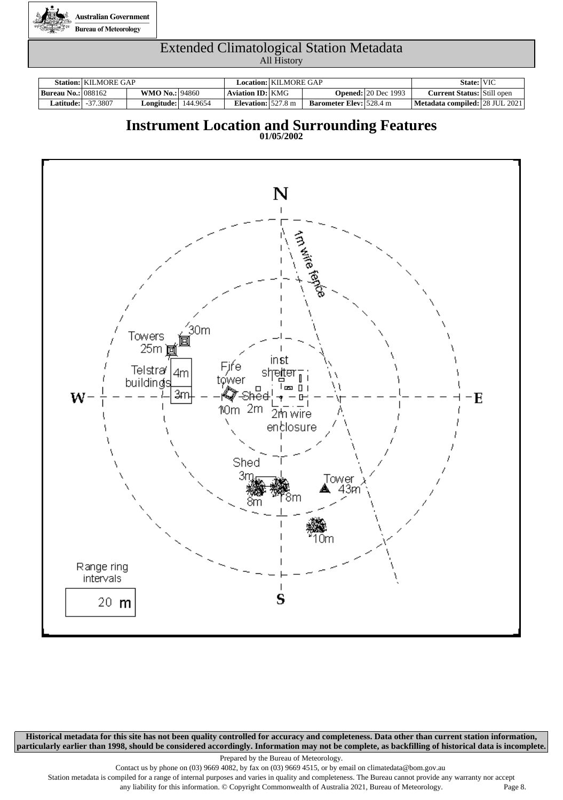

|                           | <b>Station: KILMORE GAP</b> |                            |                               | Location:   KILMORE GAP |                                |                               | State: VIC                        |  |
|---------------------------|-----------------------------|----------------------------|-------------------------------|-------------------------|--------------------------------|-------------------------------|-----------------------------------|--|
| <b>Bureau No.: 088162</b> |                             | <b>WMO No.: 94860</b>      | <b>Aviation ID: KMG</b>       |                         |                                | <b>Opened:</b> $ 20$ Dec 1993 | <b>Current Status:</b> Still open |  |
|                           | <b>Latitude: 37.3807</b>    | <b>Longitude:</b> 144.9654 | Elevation: $1527.8 \text{ m}$ |                         | <b>Barometer Elev:</b> 528.4 m |                               | Metadata compiled: 28 JUL 2021    |  |

### **Instrument Location and Surrounding Features**

**01/05/2002**



**Historical metadata for this site has not been quality controlled for accuracy and completeness. Data other than current station information, particularly earlier than 1998, should be considered accordingly. Information may not be complete, as backfilling of historical data is incomplete.**

Prepared by the Bureau of Meteorology.

Contact us by phone on (03) 9669 4082, by fax on (03) 9669 4515, or by email on climatedata@bom.gov.au

Station metadata is compiled for a range of internal purposes and varies in quality and completeness. The Bureau cannot provide any warranty nor accept any liability for this information. © Copyright Commonwealth of Australia 2021, Bureau of Meteorology. Page 8.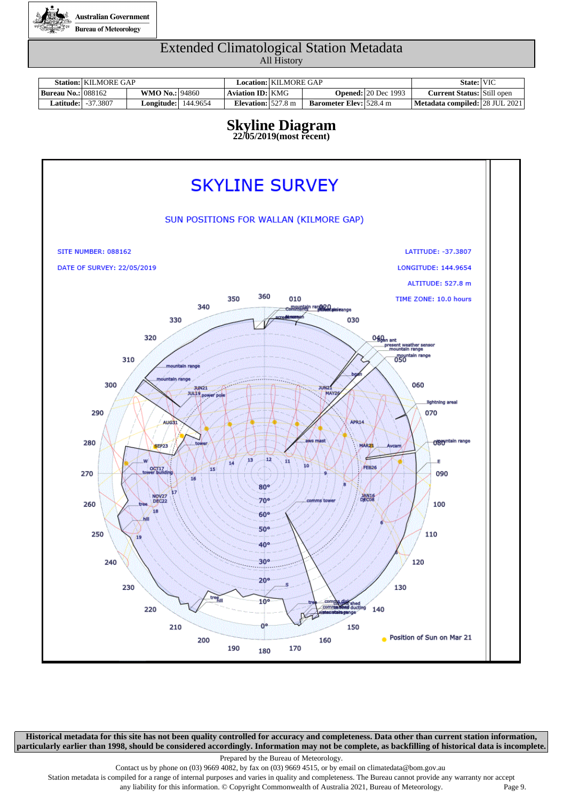

# Extended Climatological Station Metadata

All History

|                           | <b>Station: KILMORE GAP</b> |                            |                                                     | Location:   KILMORE GAP |                                |                            | State: VIC                        |  |
|---------------------------|-----------------------------|----------------------------|-----------------------------------------------------|-------------------------|--------------------------------|----------------------------|-----------------------------------|--|
| <b>Bureau No.: 088162</b> |                             | <b>WMO No.: 94860</b>      | <b>Aviation ID: KMG</b>                             |                         |                                | <b>Opened: 20 Dec 1993</b> | <b>Current Status:</b> Still open |  |
| <b>Latitude: -37.3807</b> |                             | <b>Longitude:</b> 144.9654 | Elevation: $\frac{527.8 \text{ m}}{24.5 \text{ m}}$ |                         | <b>Barometer Elev:</b> 528.4 m |                            | Metadata compiled: 28 JUL 2021    |  |

# **Skyline Diagram**

**22/05/2019(most recent)**



**Historical metadata for this site has not been quality controlled for accuracy and completeness. Data other than current station information, particularly earlier than 1998, should be considered accordingly. Information may not be complete, as backfilling of historical data is incomplete.**

Prepared by the Bureau of Meteorology.

Contact us by phone on (03) 9669 4082, by fax on (03) 9669 4515, or by email on climatedata@bom.gov.au

Station metadata is compiled for a range of internal purposes and varies in quality and completeness. The Bureau cannot provide any warranty nor accept any liability for this information. © Copyright Commonwealth of Australia 2021, Bureau of Meteorology. Page 9.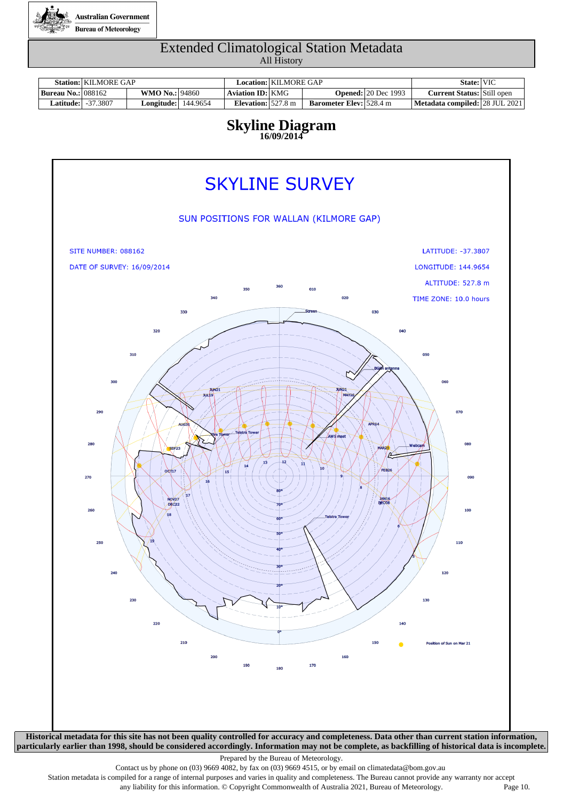

|                           | Station: KILMORE GAP |                       |          |                              | Location:   KILMORE GAP |                                |                            | State: VIC                              |  |
|---------------------------|----------------------|-----------------------|----------|------------------------------|-------------------------|--------------------------------|----------------------------|-----------------------------------------|--|
| <b>Bureau No.: 088162</b> |                      | <b>WMO No.: 94860</b> |          | <b>Aviation ID: KMG</b>      |                         |                                | <b>Opened: 20 Dec 1993</b> | <b>Current Status:</b> Still open       |  |
| Latitude:                 | 37.3807              | $\text{\_}$ ongitude: | 144.9654 | Elevation: $527.8 \text{ m}$ |                         | <b>Barometer Elev:</b> 528.4 m |                            | <b>Metadata compiled:</b>   28 JUL 2021 |  |

### **Skyline Diagram 16/09/2014**



Contact us by phone on (03) 9669 4082, by fax on (03) 9669 4515, or by email on climatedata@bom.gov.au

Station metadata is compiled for a range of internal purposes and varies in quality and completeness. The Bureau cannot provide any warranty nor accept any liability for this information. © Copyright Commonwealth of Australia 2021, Bureau of Meteorology. Page 10.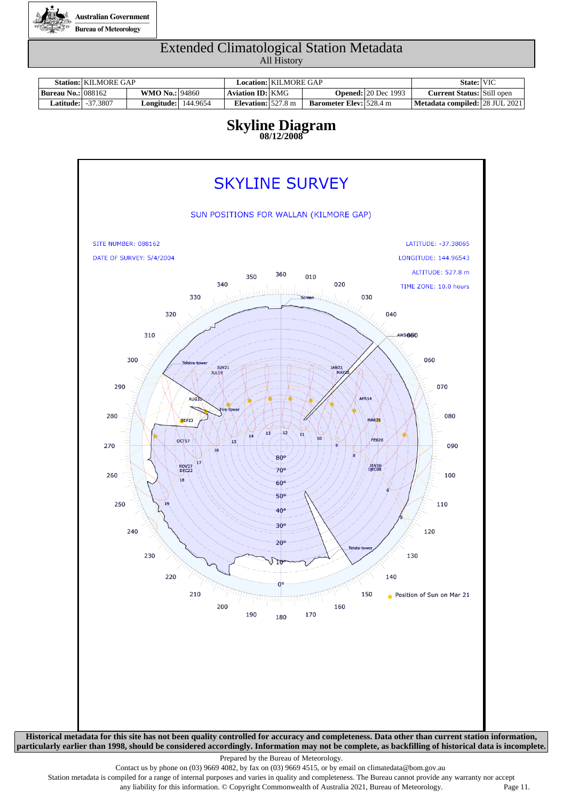

|                           | <b>Station:   KILMORE GAP</b> |                       |          |                              | Location:   KILMORE GAP |                                |                            | State: VIC                        |  |
|---------------------------|-------------------------------|-----------------------|----------|------------------------------|-------------------------|--------------------------------|----------------------------|-----------------------------------|--|
| <b>Bureau No.: 088162</b> |                               | <b>WMO No.: 94860</b> |          | <b>Aviation ID: KMG</b>      |                         |                                | <b>Opened:</b> 20 Dec 1993 | <b>Current Status:</b> Still open |  |
| Latitude:                 | $-37.3807$                    | Longitude:            | 144.9654 | Elevation: $527.8 \text{ m}$ |                         | <b>Barometer Elev:</b> 528.4 m |                            | Metadata compiled: 28 JUL 2021    |  |

### **Skyline Diagram 08/12/2008**



Contact us by phone on (03) 9669 4082, by fax on (03) 9669 4515, or by email on climatedata@bom.gov.au

any liability for this information. © Copyright Commonwealth of Australia 2021, Bureau of Meteorology. Page 11.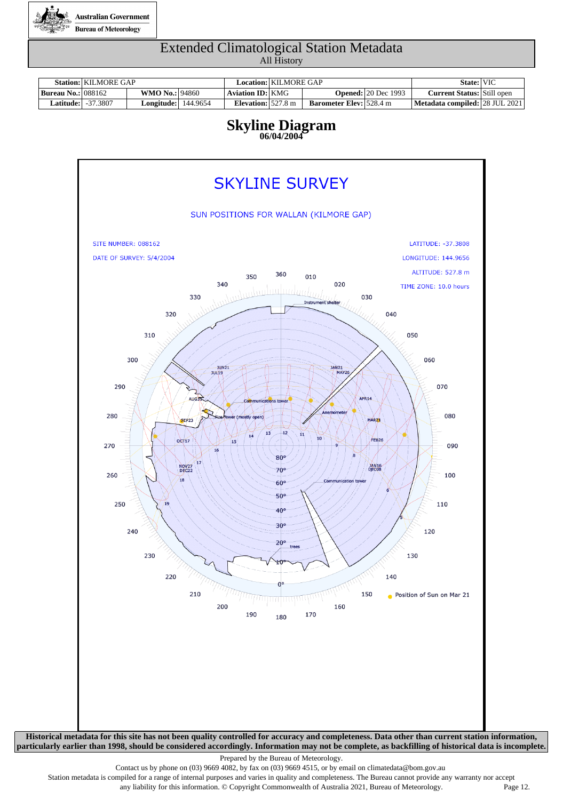

|                           | <b>Station:   KILMORE GAP</b> |                       |          |                              | Location:   KILMORE GAP |                                |                            | State: VIC                        |  |
|---------------------------|-------------------------------|-----------------------|----------|------------------------------|-------------------------|--------------------------------|----------------------------|-----------------------------------|--|
| <b>Bureau No.: 088162</b> |                               | <b>WMO No.: 94860</b> |          | <b>Aviation ID: KMG</b>      |                         |                                | <b>Opened:</b> 20 Dec 1993 | <b>Current Status:</b> Still open |  |
| Latitude:                 | $-37.3807$                    | Longitude:            | 144.9654 | Elevation: $527.8 \text{ m}$ |                         | <b>Barometer Elev:</b> 528.4 m |                            | Metadata compiled: 28 JUL 2021    |  |

### **Skyline Diagram 06/04/2004**



Prepared by the Bureau of Meteorology.

Station metadata is compiled for a range of internal purposes and varies in quality and completeness. The Bureau cannot provide any warranty nor accept any liability for this information. © Copyright Commonwealth of Australia 2021, Bureau of Meteorology. Page 12.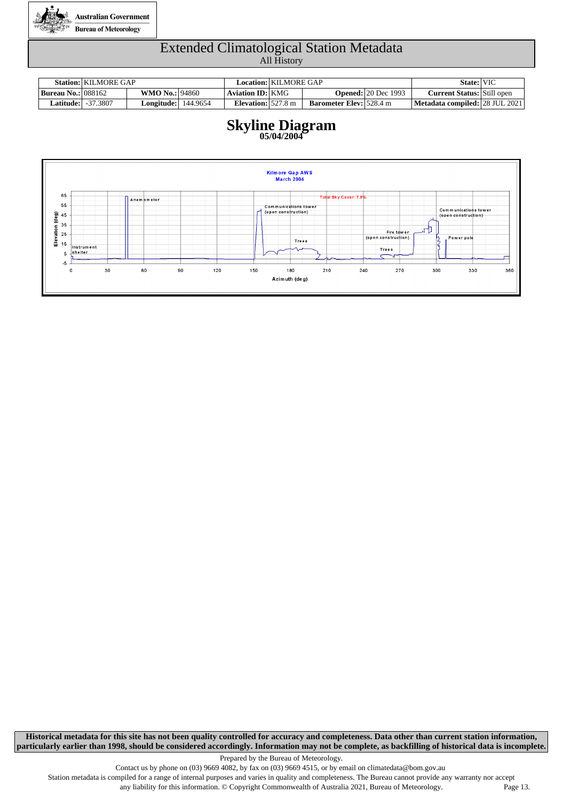

|                           | Station: KILMORE GAP       |                       |          |                              | Location:   KILMORE GAP_ |                                |                            | State: VIC                        |  |
|---------------------------|----------------------------|-----------------------|----------|------------------------------|--------------------------|--------------------------------|----------------------------|-----------------------------------|--|
| <b>Bureau No.: 088162</b> |                            | <b>WMO No.: 94860</b> |          | Aviation ID:   KMG           |                          |                                | <b>Opened: 20 Dec 1993</b> | <b>Current Status:</b> Still open |  |
|                           | <b>Latitude:  -37.3807</b> | Longitude:            | 144.9654 | Elevation: $527.8 \text{ m}$ |                          | <b>Barometer Elev:</b> 528.4 m |                            | Metadata compiled: 28 JUL 2021    |  |

### **Skyline Diagram 05/04/2004**



**Historical metadata for this site has not been quality controlled for accuracy and completeness. Data other than current station information, particularly earlier than 1998, should be considered accordingly. Information may not be complete, as backfilling of historical data is incomplete.**

Prepared by the Bureau of Meteorology.

Station metadata is compiled for a range of internal purposes and varies in quality and completeness. The Bureau cannot provide any warranty nor accept any liability for this information. © Copyright Commonwealth of Australia 2021, Bureau of Meteorology. Page 13.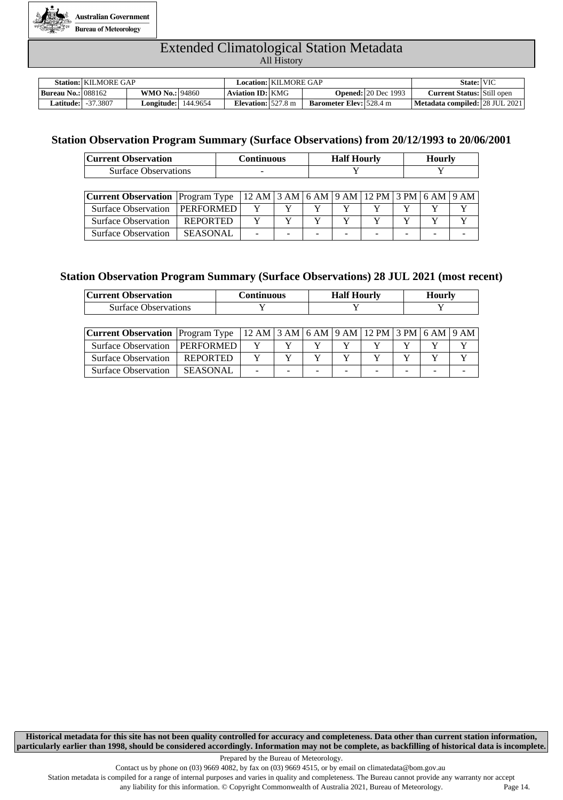

|                           | <b>Station:   KILMORE GAP</b> |                            |                              | Location:   KILMORE GAP |                                |                            | State:   VIC                      |  |
|---------------------------|-------------------------------|----------------------------|------------------------------|-------------------------|--------------------------------|----------------------------|-----------------------------------|--|
| <b>Bureau No.: 088162</b> |                               | <b>WMO No.: 94860</b>      | <b>Aviation ID: KMG</b>      |                         |                                | <b>Opened:</b> 20 Dec 1993 | <b>Current Status:</b> Still open |  |
|                           | <b>Latitude:   -37.3807</b>   | <b>Longitude:</b> 144.9654 | Elevation: $527.8 \text{ m}$ |                         | <b>Barometer Elev:</b> 528.4 m |                            | Metadata compiled: 28 JUL 2021    |  |

### **Station Observation Program Summary (Surface Observations) from 20/12/1993 to 20/06/2001**

|                             | Hourly |
|-----------------------------|--------|
| <b>Surface Observations</b> |        |

| <b>Current Observation</b> Program Type   12 AM   3 AM   6 AM   9 AM   12 PM   3 PM   6 AM   9 AM |                 |  |   |  |  |  |
|---------------------------------------------------------------------------------------------------|-----------------|--|---|--|--|--|
| Surface Observation   PERFORMED                                                                   |                 |  |   |  |  |  |
| <b>Surface Observation</b>                                                                        | <b>REPORTED</b> |  |   |  |  |  |
| <b>Surface Observation</b>                                                                        | SEASONAL        |  | ۰ |  |  |  |

### **Station Observation Program Summary (Surface Observations) 28 JUL 2021 (most recent)**

| <b>Current Observation</b>  | Continuous | <b>Half Hourly</b> | <b>Hourly</b> |
|-----------------------------|------------|--------------------|---------------|
| <b>Surface Observations</b> |            |                    |               |

| Surface Observation   PERFORMED |   |  |  |                          |                                                                                                   |
|---------------------------------|---|--|--|--------------------------|---------------------------------------------------------------------------------------------------|
| <b>REPORTED</b>                 |   |  |  |                          |                                                                                                   |
| <b>SEASONAL</b>                 | - |  |  | $\overline{\phantom{a}}$ |                                                                                                   |
|                                 |   |  |  |                          | <b>Current Observation</b> Program Type   12 AM   3 AM   6 AM   9 AM   12 PM   3 PM   6 AM   9 AM |

**Historical metadata for this site has not been quality controlled for accuracy and completeness. Data other than current station information, particularly earlier than 1998, should be considered accordingly. Information may not be complete, as backfilling of historical data is incomplete.**

Prepared by the Bureau of Meteorology.

Station metadata is compiled for a range of internal purposes and varies in quality and completeness. The Bureau cannot provide any warranty nor accept any liability for this information. © Copyright Commonwealth of Australia 2021, Bureau of Meteorology. Page 14.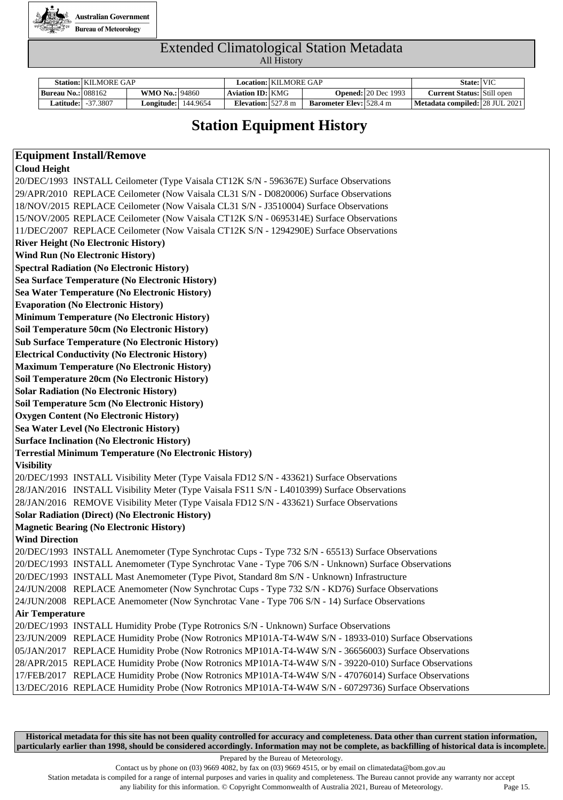

# Extended Climatological Station Metadata

All History

|                             | <b>Station: KILMORE GAP</b> |                            |                         | Location:   KILMORE GAP |                                |                            | State: VIC                        |  |
|-----------------------------|-----------------------------|----------------------------|-------------------------|-------------------------|--------------------------------|----------------------------|-----------------------------------|--|
| <b>Bureau No.:</b>   088162 |                             | <b>WMO No.: 94860</b>      | <b>Aviation ID: KMG</b> |                         |                                | <b>Opened:</b> 20 Dec 1993 | <b>Current Status:</b> Still open |  |
| <b>Latitude: -37.3807</b>   |                             | <b>Longitude:</b> 144.9654 | Elevation: 527.8 m      |                         | <b>Barometer Elev:</b> 528.4 m |                            | Metadata compiled: 28 JUL 2021    |  |

# **Station Equipment History**

### **Equipment Install/Remove Cloud Height**  20/DEC/1993 INSTALL Ceilometer (Type Vaisala CT12K S/N - 596367E) Surface Observations 29/APR/2010 REPLACE Ceilometer (Now Vaisala CL31 S/N - D0820006) Surface Observations 18/NOV/2015 REPLACE Ceilometer (Now Vaisala CL31 S/N - J3510004) Surface Observations 15/NOV/2005 REPLACE Ceilometer (Now Vaisala CT12K S/N - 0695314E) Surface Observations 11/DEC/2007 REPLACE Ceilometer (Now Vaisala CT12K S/N - 1294290E) Surface Observations **River Height (No Electronic History) Wind Run (No Electronic History) Spectral Radiation (No Electronic History) Sea Surface Temperature (No Electronic History) Sea Water Temperature (No Electronic History) Evaporation (No Electronic History) Minimum Temperature (No Electronic History) Soil Temperature 50cm (No Electronic History) Sub Surface Temperature (No Electronic History) Electrical Conductivity (No Electronic History) Maximum Temperature (No Electronic History) Soil Temperature 20cm (No Electronic History) Solar Radiation (No Electronic History) Soil Temperature 5cm (No Electronic History) Oxygen Content (No Electronic History) Sea Water Level (No Electronic History) Surface Inclination (No Electronic History) Terrestial Minimum Temperature (No Electronic History) Visibility**  20/DEC/1993 INSTALL Visibility Meter (Type Vaisala FD12 S/N - 433621) Surface Observations 28/JAN/2016 INSTALL Visibility Meter (Type Vaisala FS11 S/N - L4010399) Surface Observations 28/JAN/2016 REMOVE Visibility Meter (Type Vaisala FD12 S/N - 433621) Surface Observations **Solar Radiation (Direct) (No Electronic History) Magnetic Bearing (No Electronic History) Wind Direction**  20/DEC/1993 INSTALL Anemometer (Type Synchrotac Cups - Type 732 S/N - 65513) Surface Observations 20/DEC/1993 INSTALL Anemometer (Type Synchrotac Vane - Type 706 S/N - Unknown) Surface Observations 20/DEC/1993 INSTALL Mast Anemometer (Type Pivot, Standard 8m S/N - Unknown) Infrastructure 24/JUN/2008 REPLACE Anemometer (Now Synchrotac Cups - Type 732 S/N - KD76) Surface Observations 24/JUN/2008 REPLACE Anemometer (Now Synchrotac Vane - Type 706 S/N - 14) Surface Observations **Air Temperature**  20/DEC/1993 INSTALL Humidity Probe (Type Rotronics S/N - Unknown) Surface Observations 23/JUN/2009 REPLACE Humidity Probe (Now Rotronics MP101A-T4-W4W S/N - 18933-010) Surface Observations 05/JAN/2017 REPLACE Humidity Probe (Now Rotronics MP101A-T4-W4W S/N - 36656003) Surface Observations 28/APR/2015 REPLACE Humidity Probe (Now Rotronics MP101A-T4-W4W S/N - 39220-010) Surface Observations 17/FEB/2017 REPLACE Humidity Probe (Now Rotronics MP101A-T4-W4W S/N - 47076014) Surface Observations 13/DEC/2016 REPLACE Humidity Probe (Now Rotronics MP101A-T4-W4W S/N - 60729736) Surface Observations

**Historical metadata for this site has not been quality controlled for accuracy and completeness. Data other than current station information, particularly earlier than 1998, should be considered accordingly. Information may not be complete, as backfilling of historical data is incomplete.**

Prepared by the Bureau of Meteorology.

Contact us by phone on (03) 9669 4082, by fax on (03) 9669 4515, or by email on climatedata@bom.gov.au

Station metadata is compiled for a range of internal purposes and varies in quality and completeness. The Bureau cannot provide any warranty nor accept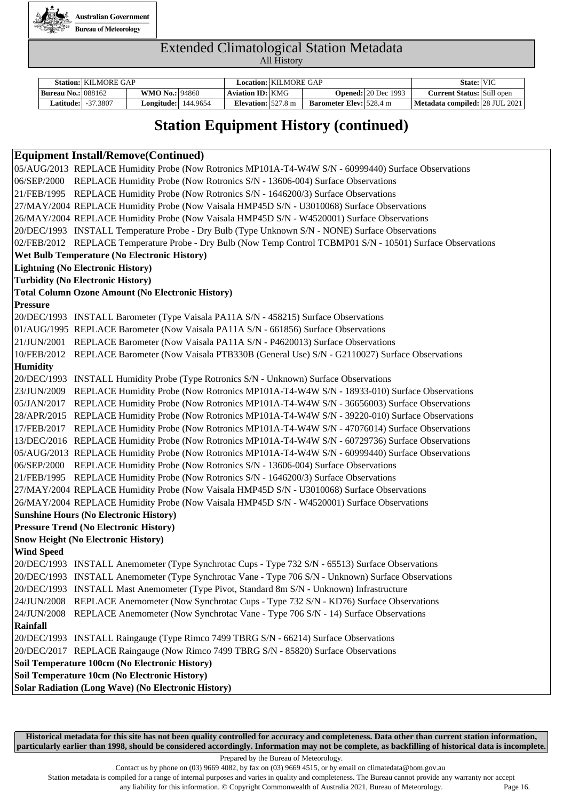

|                           | <b>Station:   KILMORE GAP</b> |                            |                                        | Location: KILMORE GAP |                                | State: VIC                        |  |
|---------------------------|-------------------------------|----------------------------|----------------------------------------|-----------------------|--------------------------------|-----------------------------------|--|
| <b>Bureau No.: 088162</b> |                               | <b>WMO No.: 94860</b>      | <b>Aviation ID: KMG</b>                |                       | <b>Opened: 20 Dec 1993</b>     | <b>Current Status:</b> Still open |  |
| <b>Latitude:  </b>        | -37.3807                      | <b>Longitude:</b> 144.9654 | Elevation: $\frac{527.8 \text{ m}}{2}$ |                       | <b>Barometer Elev:</b> 528.4 m | Metadata compiled: 28 JUL 2021    |  |

# **Station Equipment History (continued)**

### **Equipment Install/Remove(Continued)**

05/AUG/2013 REPLACE Humidity Probe (Now Rotronics MP101A-T4-W4W S/N - 60999440) Surface Observations 06/SEP/2000 REPLACE Humidity Probe (Now Rotronics S/N - 13606-004) Surface Observations 21/FEB/1995 REPLACE Humidity Probe (Now Rotronics S/N - 1646200/3) Surface Observations 27/MAY/2004 REPLACE Humidity Probe (Now Vaisala HMP45D S/N - U3010068) Surface Observations 26/MAY/2004 REPLACE Humidity Probe (Now Vaisala HMP45D S/N - W4520001) Surface Observations 20/DEC/1993 INSTALL Temperature Probe - Dry Bulb (Type Unknown S/N - NONE) Surface Observations 02/FEB/2012 REPLACE Temperature Probe - Dry Bulb (Now Temp Control TCBMP01 S/N - 10501) Surface Observations **Wet Bulb Temperature (No Electronic History) Lightning (No Electronic History) Turbidity (No Electronic History) Total Column Ozone Amount (No Electronic History) Pressure**  20/DEC/1993 INSTALL Barometer (Type Vaisala PA11A S/N - 458215) Surface Observations 01/AUG/1995 REPLACE Barometer (Now Vaisala PA11A S/N - 661856) Surface Observations 21/JUN/2001 REPLACE Barometer (Now Vaisala PA11A S/N - P4620013) Surface Observations 10/FEB/2012 REPLACE Barometer (Now Vaisala PTB330B (General Use) S/N - G2110027) Surface Observations **Humidity**  20/DEC/1993 INSTALL Humidity Probe (Type Rotronics S/N - Unknown) Surface Observations 23/JUN/2009 REPLACE Humidity Probe (Now Rotronics MP101A-T4-W4W S/N - 18933-010) Surface Observations 05/JAN/2017 REPLACE Humidity Probe (Now Rotronics MP101A-T4-W4W S/N - 36656003) Surface Observations 28/APR/2015 REPLACE Humidity Probe (Now Rotronics MP101A-T4-W4W S/N - 39220-010) Surface Observations 17/FEB/2017 REPLACE Humidity Probe (Now Rotronics MP101A-T4-W4W S/N - 47076014) Surface Observations 13/DEC/2016 REPLACE Humidity Probe (Now Rotronics MP101A-T4-W4W S/N - 60729736) Surface Observations 05/AUG/2013 REPLACE Humidity Probe (Now Rotronics MP101A-T4-W4W S/N - 60999440) Surface Observations 06/SEP/2000 REPLACE Humidity Probe (Now Rotronics S/N - 13606-004) Surface Observations 21/FEB/1995 REPLACE Humidity Probe (Now Rotronics S/N - 1646200/3) Surface Observations 27/MAY/2004 REPLACE Humidity Probe (Now Vaisala HMP45D S/N - U3010068) Surface Observations 26/MAY/2004 REPLACE Humidity Probe (Now Vaisala HMP45D S/N - W4520001) Surface Observations **Sunshine Hours (No Electronic History) Pressure Trend (No Electronic History) Snow Height (No Electronic History) Wind Speed**  20/DEC/1993 INSTALL Anemometer (Type Synchrotac Cups - Type 732 S/N - 65513) Surface Observations 20/DEC/1993 INSTALL Anemometer (Type Synchrotac Vane - Type 706 S/N - Unknown) Surface Observations 20/DEC/1993 INSTALL Mast Anemometer (Type Pivot, Standard 8m S/N - Unknown) Infrastructure 24/JUN/2008 REPLACE Anemometer (Now Synchrotac Cups - Type 732 S/N - KD76) Surface Observations 24/JUN/2008 REPLACE Anemometer (Now Synchrotac Vane - Type 706 S/N - 14) Surface Observations **Rainfall**  20/DEC/1993 INSTALL Raingauge (Type Rimco 7499 TBRG S/N - 66214) Surface Observations 20/DEC/2017 REPLACE Raingauge (Now Rimco 7499 TBRG S/N - 85820) Surface Observations **Soil Temperature 100cm (No Electronic History) Soil Temperature 10cm (No Electronic History)**

**Solar Radiation (Long Wave) (No Electronic History)**

**Historical metadata for this site has not been quality controlled for accuracy and completeness. Data other than current station information, particularly earlier than 1998, should be considered accordingly. Information may not be complete, as backfilling of historical data is incomplete.**

Prepared by the Bureau of Meteorology.

Contact us by phone on (03) 9669 4082, by fax on (03) 9669 4515, or by email on climatedata@bom.gov.au

Station metadata is compiled for a range of internal purposes and varies in quality and completeness. The Bureau cannot provide any warranty nor accept any liability for this information. © Copyright Commonwealth of Australia 2021, Bureau of Meteorology. Page 16.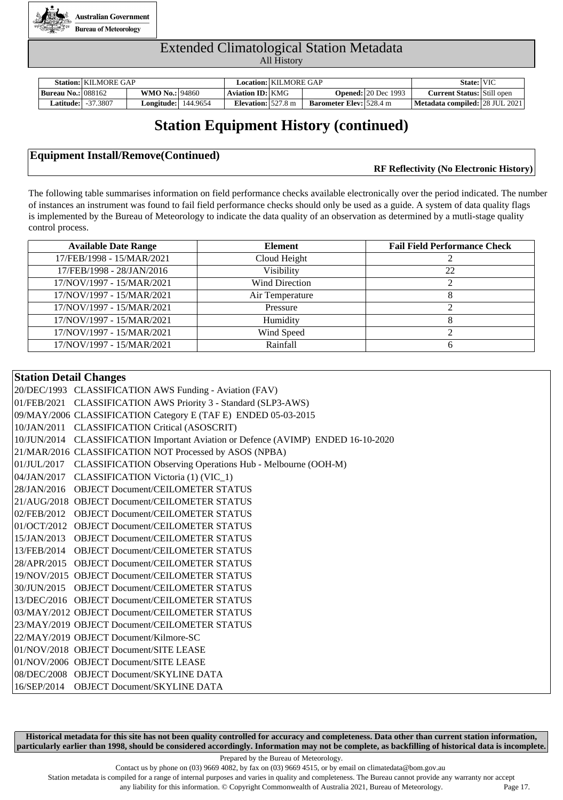

|                           | Station: KILMORE GAP      |                            |                              | Location: KILMORE GAP |                                |                            | State: VIC                        |  |
|---------------------------|---------------------------|----------------------------|------------------------------|-----------------------|--------------------------------|----------------------------|-----------------------------------|--|
| <b>Bureau No.: 088162</b> |                           | <b>WMO No.: 94860</b>      | <b>Aviation ID: KMG</b>      |                       |                                | <b>Opened: 20 Dec 1993</b> | <b>Current Status:</b> Still open |  |
|                           | <b>Latitude: -37.3807</b> | <b>Longitude:</b> 144.9654 | Elevation: $527.8 \text{ m}$ |                       | <b>Barometer Elev:</b> 528.4 m |                            | Metadata compiled: 28 JUL 2021    |  |

## **Station Equipment History (continued)**

### **Equipment Install/Remove(Continued)**

**RF Reflectivity (No Electronic History)**

The following table summarises information on field performance checks available electronically over the period indicated. The number of instances an instrument was found to fail field performance checks should only be used as a guide. A system of data quality flags is implemented by the Bureau of Meteorology to indicate the data quality of an observation as determined by a mutli-stage quality control process.

| <b>Available Date Range</b> | <b>Element</b>        | <b>Fail Field Performance Check</b> |  |
|-----------------------------|-----------------------|-------------------------------------|--|
| 17/FEB/1998 - 15/MAR/2021   | Cloud Height          |                                     |  |
| 17/FEB/1998 - 28/JAN/2016   | Visibility            | 22                                  |  |
| 17/NOV/1997 - 15/MAR/2021   | <b>Wind Direction</b> |                                     |  |
| 17/NOV/1997 - 15/MAR/2021   | Air Temperature       | 8                                   |  |
| 17/NOV/1997 - 15/MAR/2021   | Pressure              |                                     |  |
| 17/NOV/1997 - 15/MAR/2021   | Humidity              |                                     |  |
| 17/NOV/1997 - 15/MAR/2021   | Wind Speed            |                                     |  |
| 17/NOV/1997 - 15/MAR/2021   | Rainfall              |                                     |  |

#### **Station Detail Changes**

20/DEC/1993 CLASSIFICATION AWS Funding - Aviation (FAV) 01/FEB/2021 CLASSIFICATION AWS Priority 3 - Standard (SLP3-AWS) 09/MAY/2006 CLASSIFICATION Category E (TAF E) ENDED 05-03-2015 10/JAN/2011 CLASSIFICATION Critical (ASOSCRIT) 10/JUN/2014 CLASSIFICATION Important Aviation or Defence (AVIMP) ENDED 16-10-2020 21/MAR/2016 CLASSIFICATION NOT Processed by ASOS (NPBA) 01/JUL/2017 CLASSIFICATION Observing Operations Hub - Melbourne (OOH-M) 04/JAN/2017 CLASSIFICATION Victoria (1) (VIC\_1) 28/JAN/2016 OBJECT Document/CEILOMETER STATUS 21/AUG/2018 OBJECT Document/CEILOMETER STATUS 02/FEB/2012 OBJECT Document/CEILOMETER STATUS 01/OCT/2012 OBJECT Document/CEILOMETER STATUS 15/JAN/2013 OBJECT Document/CEILOMETER STATUS 13/FEB/2014 OBJECT Document/CEILOMETER STATUS 28/APR/2015 OBJECT Document/CEILOMETER STATUS 19/NOV/2015 OBJECT Document/CEILOMETER STATUS 30/JUN/2015 OBJECT Document/CEILOMETER STATUS 13/DEC/2016 OBJECT Document/CEILOMETER STATUS 03/MAY/2012 OBJECT Document/CEILOMETER STATUS 23/MAY/2019 OBJECT Document/CEILOMETER STATUS 22/MAY/2019 OBJECT Document/Kilmore-SC 01/NOV/2018 OBJECT Document/SITE LEASE 01/NOV/2006 OBJECT Document/SITE LEASE 08/DEC/2008 OBJECT Document/SKYLINE DATA 16/SEP/2014 OBJECT Document/SKYLINE DATA

**Historical metadata for this site has not been quality controlled for accuracy and completeness. Data other than current station information, particularly earlier than 1998, should be considered accordingly. Information may not be complete, as backfilling of historical data is incomplete.**

Prepared by the Bureau of Meteorology.

Contact us by phone on  $(03)$  9669 4082, by fax on  $(03)$  9669 4515, or by email on climatedata@bom.gov.au

Station metadata is compiled for a range of internal purposes and varies in quality and completeness. The Bureau cannot provide any warranty nor accept

any liability for this information. © Copyright Commonwealth of Australia 2021, Bureau of Meteorology. Page 17.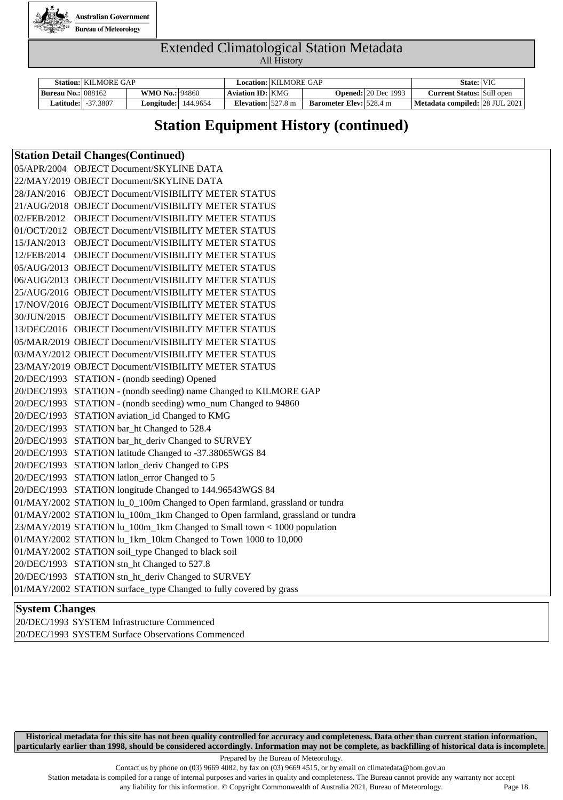

|                             | Station: KILMORE GAP      |                            |                                                     | Location:   KILMORE GAP |                                |                            | State: VIC                        |  |
|-----------------------------|---------------------------|----------------------------|-----------------------------------------------------|-------------------------|--------------------------------|----------------------------|-----------------------------------|--|
| <b>Bureau No.:</b>   088162 |                           | <b>WMO No.: 94860</b>      | <b>Aviation ID: KMG</b>                             |                         |                                | <b>Opened: 20 Dec 1993</b> | <b>Current Status:</b> Still open |  |
|                             | <b>Latitude: -37.3807</b> | <b>Longitude:</b> 144.9654 | Elevation: $\frac{527.8 \text{ m}}{24.0 \text{ m}}$ |                         | <b>Barometer Elev:</b> 528.4 m |                            | Metadata compiled: 28 JUL 2021    |  |

# **Station Equipment History (continued)**

### **Station Detail Changes(Continued)**

| <b>System Changes</b> |                                                                               |
|-----------------------|-------------------------------------------------------------------------------|
|                       | 01/MAY/2002 STATION surface_type Changed to fully covered by grass            |
|                       | 20/DEC/1993 STATION stn_ht_deriv Changed to SURVEY                            |
|                       | 20/DEC/1993 STATION stn_ht Changed to 527.8                                   |
|                       | 01/MAY/2002 STATION soil_type Changed to black soil                           |
|                       | 01/MAY/2002 STATION lu_1km_10km Changed to Town 1000 to 10,000                |
|                       | 23/MAY/2019 STATION lu_100m_1km Changed to Small town < 1000 population       |
|                       | 01/MAY/2002 STATION lu_100m_1km Changed to Open farmland, grassland or tundra |
|                       | 01/MAY/2002 STATION lu_0_100m Changed to Open farmland, grassland or tundra   |
|                       | 20/DEC/1993 STATION longitude Changed to 144.96543WGS 84                      |
|                       | 20/DEC/1993 STATION latlon_error Changed to 5                                 |
|                       | 20/DEC/1993 STATION latlon_deriv Changed to GPS                               |
|                       | 20/DEC/1993 STATION latitude Changed to -37.38065WGS 84                       |
|                       | 20/DEC/1993 STATION bar_ht_deriv Changed to SURVEY                            |
|                       | 20/DEC/1993 STATION bar_ht Changed to 528.4                                   |
|                       | 20/DEC/1993 STATION aviation_id Changed to KMG                                |
|                       | 20/DEC/1993 STATION - (nondb seeding) wmo_num Changed to 94860                |
|                       | 20/DEC/1993 STATION - (nondb seeding) name Changed to KILMORE GAP             |
|                       | 20/DEC/1993 STATION - (nondb seeding) Opened                                  |
|                       | 23/MAY/2019 OBJECT Document/VISIBILITY METER STATUS                           |
|                       | 03/MAY/2012 OBJECT Document/VISIBILITY METER STATUS                           |
|                       | 05/MAR/2019 OBJECT Document/VISIBILITY METER STATUS                           |
|                       | 13/DEC/2016 OBJECT Document/VISIBILITY METER STATUS                           |
|                       | 30/JUN/2015 OBJECT Document/VISIBILITY METER STATUS                           |
|                       | 17/NOV/2016 OBJECT Document/VISIBILITY METER STATUS                           |
|                       | 25/AUG/2016 OBJECT Document/VISIBILITY METER STATUS                           |
|                       | 06/AUG/2013 OBJECT Document/VISIBILITY METER STATUS                           |
|                       | 05/AUG/2013 OBJECT Document/VISIBILITY METER STATUS                           |
|                       | 12/FEB/2014 OBJECT Document/VISIBILITY METER STATUS                           |
|                       | 15/JAN/2013 OBJECT Document/VISIBILITY METER STATUS                           |
|                       | 01/OCT/2012 OBJECT Document/VISIBILITY METER STATUS                           |
|                       | 02/FEB/2012 OBJECT Document/VISIBILITY METER STATUS                           |
|                       | 21/AUG/2018 OBJECT Document/VISIBILITY METER STATUS                           |
|                       | 28/JAN/2016 OBJECT Document/VISIBILITY METER STATUS                           |
|                       | 22/MAY/2019 OBJECT Document/SKYLINE DATA                                      |
|                       | 05/APR/2004 OBJECT Document/SKYLINE DATA                                      |

### **System Changes**

20/DEC/1993 SYSTEM Infrastructure Commenced 20/DEC/1993 SYSTEM Surface Observations Commenced

**Historical metadata for this site has not been quality controlled for accuracy and completeness. Data other than current station information, particularly earlier than 1998, should be considered accordingly. Information may not be complete, as backfilling of historical data is incomplete.**

Prepared by the Bureau of Meteorology.

Contact us by phone on (03) 9669 4082, by fax on (03) 9669 4515, or by email on climatedata@bom.gov.au

Station metadata is compiled for a range of internal purposes and varies in quality and completeness. The Bureau cannot provide any warranty nor accept

any liability for this information. © Copyright Commonwealth of Australia 2021, Bureau of Meteorology. Page 18.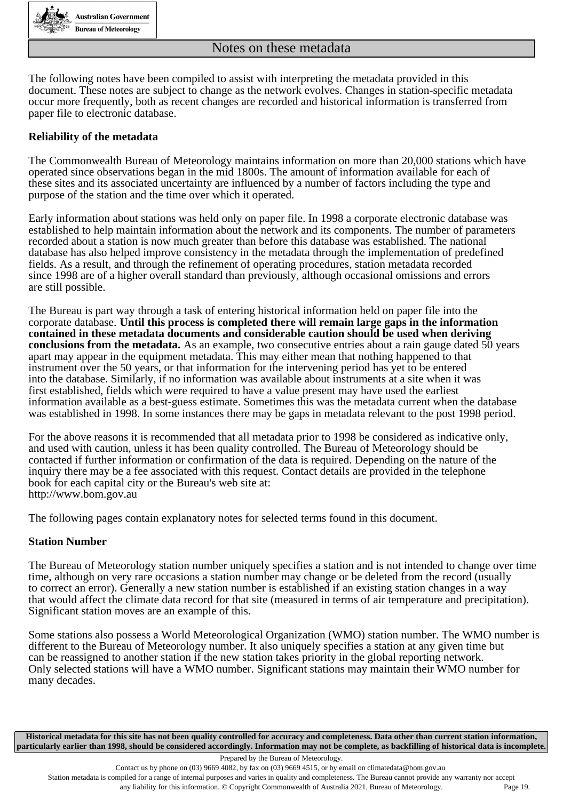

The following notes have been compiled to assist with interpreting the metadata provided in this document. These notes are subject to change as the network evolves. Changes in station-specific metadata occur more frequently, both as recent changes are recorded and historical information is transferred from paper file to electronic database.

### **Reliability of the metadata**

The Commonwealth Bureau of Meteorology maintains information on more than 20,000 stations which have operated since observations began in the mid 1800s. The amount of information available for each of these sites and its associated uncertainty are influenced by a number of factors including the type and purpose of the station and the time over which it operated.

Early information about stations was held only on paper file. In 1998 a corporate electronic database was established to help maintain information about the network and its components. The number of parameters recorded about a station is now much greater than before this database was established. The national database has also helped improve consistency in the metadata through the implementation of predefined fields. As a result, and through the refinement of operating procedures, station metadata recorded since 1998 are of a higher overall standard than previously, although occasional omissions and errors are still possible.

The Bureau is part way through a task of entering historical information held on paper file into the corporate database. **Until this process is completed there will remain large gaps in the information contained in these metadata documents and considerable caution should be used when deriving conclusions from the metadata.** As an example, two consecutive entries about a rain gauge dated 50 years apart may appear in the equipment metadata. This may either mean that nothing happened to that instrument over the 50 years, or that information for the intervening period has yet to be entered into the database. Similarly, if no information was available about instruments at a site when it was first established, fields which were required to have a value present may have used the earliest information available as a best-guess estimate. Sometimes this was the metadata current when the database was established in 1998. In some instances there may be gaps in metadata relevant to the post 1998 period.

For the above reasons it is recommended that all metadata prior to 1998 be considered as indicative only, and used with caution, unless it has been quality controlled. The Bureau of Meteorology should be contacted if further information or confirmation of the data is required. Depending on the nature of the inquiry there may be a fee associated with this request. Contact details are provided in the telephone book for each capital city or the Bureau's web site at: http://www.bom.gov.au

The following pages contain explanatory notes for selected terms found in this document.

### **Station Number**

The Bureau of Meteorology station number uniquely specifies a station and is not intended to change over time time, although on very rare occasions a station number may change or be deleted from the record (usually to correct an error). Generally a new station number is established if an existing station changes in a way that would affect the climate data record for that site (measured in terms of air temperature and precipitation). Significant station moves are an example of this.

Some stations also possess a World Meteorological Organization (WMO) station number. The WMO number is different to the Bureau of Meteorology number. It also uniquely specifies a station at any given time but can be reassigned to another station if the new station takes priority in the global reporting network. Only selected stations will have a WMO number. Significant stations may maintain their WMO number for many decades.

**Historical metadata for this site has not been quality controlled for accuracy and completeness. Data other than current station information, particularly earlier than 1998, should be considered accordingly. Information may not be complete, as backfilling of historical data is incomplete.**

Station metadata is compiled for a range of internal purposes and varies in quality and completeness. The Bureau cannot provide any warranty nor accept any liability for this information. © Copyright Commonwealth of Australia 2021, Bureau of Meteorology. Page 19.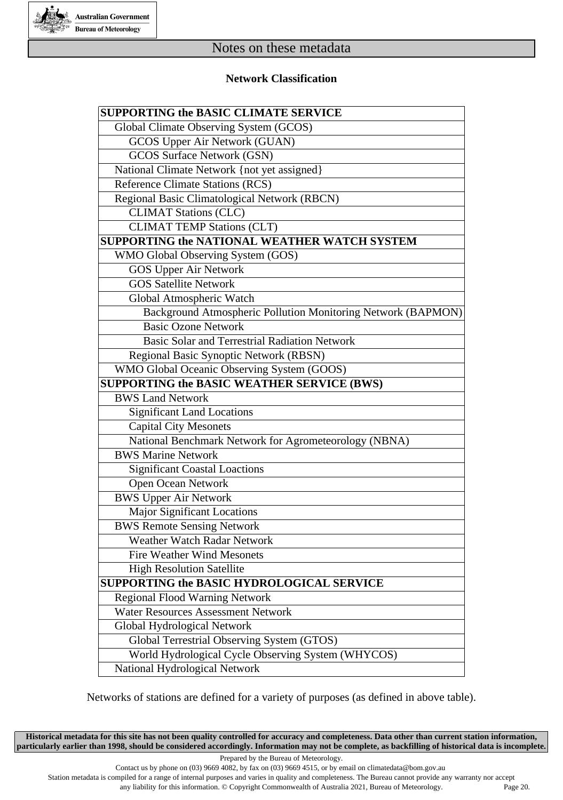

### **Network Classification**

| <b>SUPPORTING the BASIC CLIMATE SERVICE</b>                  |
|--------------------------------------------------------------|
| Global Climate Observing System (GCOS)                       |
| GCOS Upper Air Network (GUAN)                                |
| <b>GCOS Surface Network (GSN)</b>                            |
| National Climate Network {not yet assigned}                  |
| <b>Reference Climate Stations (RCS)</b>                      |
| Regional Basic Climatological Network (RBCN)                 |
| <b>CLIMAT Stations (CLC)</b>                                 |
| <b>CLIMAT TEMP Stations (CLT)</b>                            |
| <b>SUPPORTING the NATIONAL WEATHER WATCH SYSTEM</b>          |
| WMO Global Observing System (GOS)                            |
| <b>GOS Upper Air Network</b>                                 |
| <b>GOS Satellite Network</b>                                 |
| Global Atmospheric Watch                                     |
| Background Atmospheric Pollution Monitoring Network (BAPMON) |
| <b>Basic Ozone Network</b>                                   |
| <b>Basic Solar and Terrestrial Radiation Network</b>         |
| Regional Basic Synoptic Network (RBSN)                       |
| WMO Global Oceanic Observing System (GOOS)                   |
| <b>SUPPORTING the BASIC WEATHER SERVICE (BWS)</b>            |
| <b>BWS Land Network</b>                                      |
| <b>Significant Land Locations</b>                            |
| <b>Capital City Mesonets</b>                                 |
| National Benchmark Network for Agrometeorology (NBNA)        |
| <b>BWS Marine Network</b>                                    |
| <b>Significant Coastal Loactions</b>                         |
| Open Ocean Network                                           |
| <b>BWS Upper Air Network</b>                                 |
| <b>Major Significant Locations</b>                           |
| <b>BWS Remote Sensing Network</b>                            |
| Weather Watch Radar Network                                  |
| <b>Fire Weather Wind Mesonets</b>                            |
| <b>High Resolution Satellite</b>                             |
| <b>SUPPORTING the BASIC HYDROLOGICAL SERVICE</b>             |
| <b>Regional Flood Warning Network</b>                        |
| <b>Water Resources Assessment Network</b>                    |
| Global Hydrological Network                                  |
| Global Terrestrial Observing System (GTOS)                   |
| World Hydrological Cycle Observing System (WHYCOS)           |
| National Hydrological Network                                |

Networks of stations are defined for a variety of purposes (as defined in above table).

**Historical metadata for this site has not been quality controlled for accuracy and completeness. Data other than current station information, particularly earlier than 1998, should be considered accordingly. Information may not be complete, as backfilling of historical data is incomplete.**

Prepared by the Bureau of Meteorology.

Contact us by phone on (03) 9669 4082, by fax on (03) 9669 4515, or by email on climatedata@bom.gov.au

Station metadata is compiled for a range of internal purposes and varies in quality and completeness. The Bureau cannot provide any warranty nor accept any liability for this information. © Copyright Commonwealth of Australia 2021, Bureau of Meteorology. Page 20.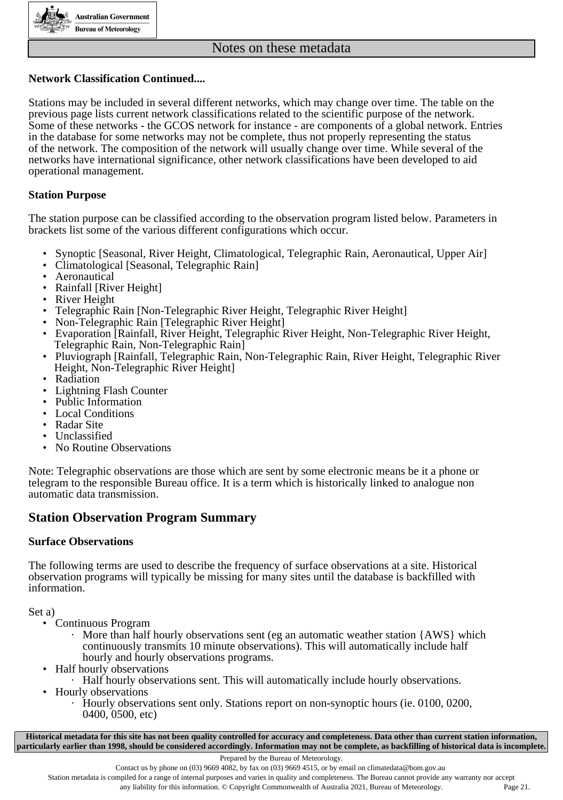

### **Network Classification Continued....**

Stations may be included in several different networks, which may change over time. The table on the previous page lists current network classifications related to the scientific purpose of the network. Some of these networks - the GCOS network for instance - are components of a global network. Entries in the database for some networks may not be complete, thus not properly representing the status of the network. The composition of the network will usually change over time. While several of the networks have international significance, other network classifications have been developed to aid operational management.

### **Station Purpose**

The station purpose can be classified according to the observation program listed below. Parameters in brackets list some of the various different configurations which occur.

- Synoptic [Seasonal, River Height, Climatological, Telegraphic Rain, Aeronautical, Upper Air]
- Climatological [Seasonal, Telegraphic Rain]
- Aeronautical
- Rainfall [River Height]<br>• River Height
- **River Height**
- Telegraphic Rain [Non-Telegraphic River Height, Telegraphic River Height]<br>• Non-Telegraphic Rain [Telegraphic River Height]
- Non-Telegraphic Rain [Telegraphic River Height]
- Evaporation [Rainfall, River Height, Telegraphic River Height, Non-Telegraphic River Height, Telegraphic Rain, Non-Telegraphic Rain]
- Pluviograph [Rainfall, Telegraphic Rain, Non-Telegraphic Rain, River Height, Telegraphic River Height, Non-Telegraphic River Height]
- Radiation
- Lightning Flash Counter
- Public Information
- Local Conditions
- Radar Site
- **Unclassified**
- No Routine Observations

Note: Telegraphic observations are those which are sent by some electronic means be it a phone or telegram to the responsible Bureau office. It is a term which is historically linked to analogue non automatic data transmission.

### **Station Observation Program Summary**

### **Surface Observations**

The following terms are used to describe the frequency of surface observations at a site. Historical observation programs will typically be missing for many sites until the database is backfilled with information.

Set a)

- Continuous Program
	- $\cdot$  More than half hourly observations sent (eg an automatic weather station {AWS} which continuously transmits 10 minute observations). This will automatically include half hourly and hourly observations programs.
- Half hourly observations
- · Half hourly observations sent. This will automatically include hourly observations.
- Hourly observations
	- · Hourly observations sent only. Stations report on non-synoptic hours (ie. 0100, 0200, 0400, 0500, etc)

**Historical metadata for this site has not been quality controlled for accuracy and completeness. Data other than current station information, particularly earlier than 1998, should be considered accordingly. Information may not be complete, as backfilling of historical data is incomplete.**

Prepared by the Bureau of Meteorology.

Contact us by phone on (03) 9669 4082, by fax on (03) 9669 4515, or by email on climatedata@bom.gov.au

Station metadata is compiled for a range of internal purposes and varies in quality and completeness. The Bureau cannot provide any warranty nor accept any liability for this information. © Copyright Commonwealth of Australia 2021, Bureau of Meteorology. Page 21.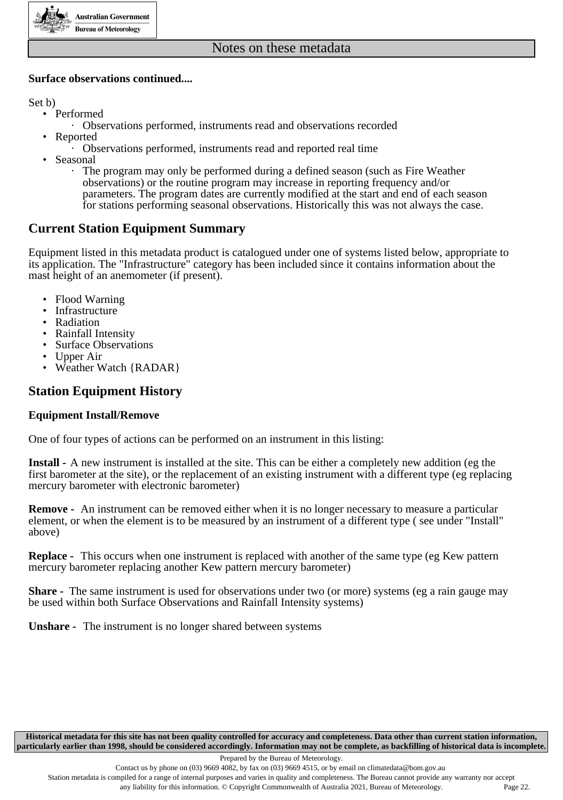

### **Surface observations continued....**

Set b)

- Performed
	- · Observations performed, instruments read and observations recorded
- Reported
	- · Observations performed, instruments read and reported real time
- **Seasonal** 
	- · The program may only be performed during a defined season (such as Fire Weather observations) or the routine program may increase in reporting frequency and/or parameters. The program dates are currently modified at the start and end of each season for stations performing seasonal observations. Historically this was not always the case.

### **Current Station Equipment Summary**

Equipment listed in this metadata product is catalogued under one of systems listed below, appropriate to its application. The "Infrastructure" category has been included since it contains information about the mast height of an anemometer (if present).

- Flood Warning
- Infrastructure
- Radiation
- Rainfall Intensity
- Surface Observations
- Upper Air
- Weather Watch {RADAR}

### **Station Equipment History**

### **Equipment Install/Remove**

One of four types of actions can be performed on an instrument in this listing:

**Install -** A new instrument is installed at the site. This can be either a completely new addition (eg the first barometer at the site), or the replacement of an existing instrument with a different type (eg replacing mercury barometer with electronic barometer)

**Remove -** An instrument can be removed either when it is no longer necessary to measure a particular element, or when the element is to be measured by an instrument of a different type ( see under "Install" above)

**Replace -** This occurs when one instrument is replaced with another of the same type (eg Kew pattern mercury barometer replacing another Kew pattern mercury barometer)

**Share -** The same instrument is used for observations under two (or more) systems (eg a rain gauge may be used within both Surface Observations and Rainfall Intensity systems)

**Unshare -** The instrument is no longer shared between systems

**Historical metadata for this site has not been quality controlled for accuracy and completeness. Data other than current station information, particularly earlier than 1998, should be considered accordingly. Information may not be complete, as backfilling of historical data is incomplete.**

Station metadata is compiled for a range of internal purposes and varies in quality and completeness. The Bureau cannot provide any warranty nor accept any liability for this information. © Copyright Commonwealth of Australia 2021, Bureau of Meteorology. Page 22.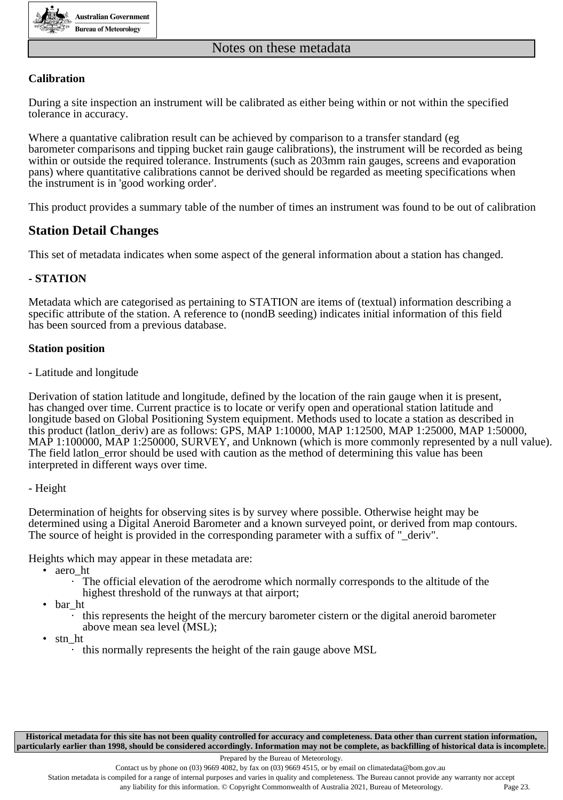

### **Calibration**

During a site inspection an instrument will be calibrated as either being within or not within the specified tolerance in accuracy.

Where a quantative calibration result can be achieved by comparison to a transfer standard (eg barometer comparisons and tipping bucket rain gauge calibrations), the instrument will be recorded as being within or outside the required tolerance. Instruments (such as 203mm rain gauges, screens and evaporation pans) where quantitative calibrations cannot be derived should be regarded as meeting specifications when the instrument is in 'good working order'.

This product provides a summary table of the number of times an instrument was found to be out of calibration

### **Station Detail Changes**

This set of metadata indicates when some aspect of the general information about a station has changed.

### **- STATION**

Metadata which are categorised as pertaining to STATION are items of (textual) information describing a specific attribute of the station. A reference to (nondB seeding) indicates initial information of this field has been sourced from a previous database.

### **Station position**

- Latitude and longitude

Derivation of station latitude and longitude, defined by the location of the rain gauge when it is present, has changed over time. Current practice is to locate or verify open and operational station latitude and longitude based on Global Positioning System equipment. Methods used to locate a station as described in this product (latlon\_deriv) are as follows: GPS, MAP 1:10000, MAP 1:12500, MAP 1:25000, MAP 1:50000, MAP 1:100000, MAP 1:250000, SURVEY, and Unknown (which is more commonly represented by a null value). The field latlon\_error should be used with caution as the method of determining this value has been interpreted in different ways over time.

### - Height

Determination of heights for observing sites is by survey where possible. Otherwise height may be determined using a Digital Aneroid Barometer and a known surveyed point, or derived from map contours. The source of height is provided in the corresponding parameter with a suffix of " deriv".

Heights which may appear in these metadata are:

- aero\_ht
	- The official elevation of the aerodrome which normally corresponds to the altitude of the highest threshold of the runways at that airport;
- bar\_ht
	- · this represents the height of the mercury barometer cistern or the digital aneroid barometer above mean sea level (MSL);
- stn\_ht
	- · this normally represents the height of the rain gauge above MSL

**Historical metadata for this site has not been quality controlled for accuracy and completeness. Data other than current station information, particularly earlier than 1998, should be considered accordingly. Information may not be complete, as backfilling of historical data is incomplete.**

Prepared by the Bureau of Meteorology.

Contact us by phone on (03) 9669 4082, by fax on (03) 9669 4515, or by email on climatedata@bom.gov.au

Station metadata is compiled for a range of internal purposes and varies in quality and completeness. The Bureau cannot provide any warranty nor accept any liability for this information. © Copyright Commonwealth of Australia 2021, Bureau of Meteorology. Page 23.